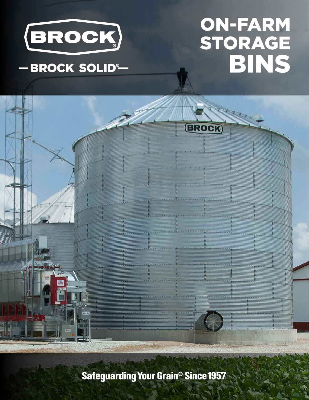

# ON-FARM STORAGE BINS

**BROCK** 

## -BROCK SOLID®

**Safeguarding Your Grain<sup>®</sup> Since 1957**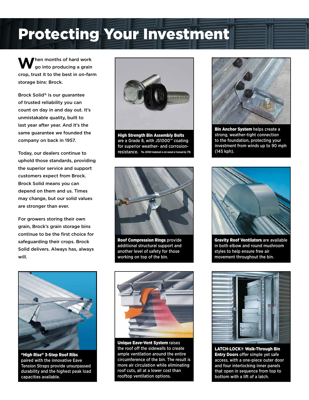## Protecting Your Investment

When months of hard work<br>go into producing a grain crop, trust it to the best in on-farm storage bins: Brock.

Brock Solid® is our guarantee of trusted reliability you can count on day in and day out. It's unmistakable quality, built to last year after year. And it's the same guarantee we founded the company on back in 1957.

Today, our dealers continue to uphold those standards, providing the superior service and support customers expect from Brock. Brock Solid means you can depend on them and us. Times may change, but our solid values are stronger than ever.

For growers storing their own grain, Brock's grain storage bins continue to be the first choice for safeguarding their crops. Brock Solid delivers. Always has, always will.



High Strength Bin Assembly Bolts are a Grade 8, with JS1000™ coating for superior weather- and corrosionresistance. **The JS1000 trademark is not owned or licensed by CTB.**



Roof Compression Rings provide additional structural support and another level of safety for those working on top of the bin.



"High Rise" 3-Step Roof Ribs paired with the innovative Eave Tension Straps provide unsurpassed durability and the highest peak load capacities available.



Unique Eave-Vent System raises the roof off the sidewalls to create ample ventilation around the entire circumference of the bin. The result is more air circulation while eliminating roof cuts, all at a lower cost than rooftop ventilation options.



**Bin Anchor System helps create a** strong, weather-tight connection to the foundation, protecting your investment from winds up to 90 mph (145 kph).



Gravity Roof Ventilators are available in both elbow and round mushroom styles to help ensure free air movement throughout the bin.



LATCH-LOCK® Walk-Through Bin **Entry Doors offer simple yet safe** access, with a one-piece outer door and four interlocking inner panels that open in sequence from top to bottom with a lift of a latch.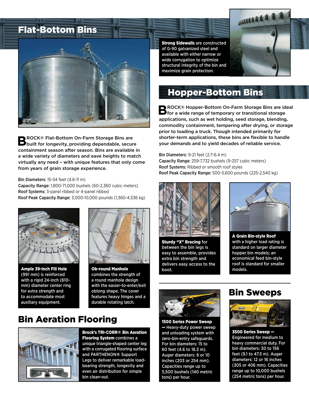

**BROCK® Flat-Bottom On-Farm Storage Bins are<br>Built for longevity, providing dependable, secure** containment season after season. Bins are available in a wide variety of diameters and eave heights to match virtually any need – with unique features that only come from years of grain storage experience.

#### Bin Diameters: 15-54 feet (4.6-11 m)

Capacity Range: 1,800-71,000 bushels (60-2,360 cubic meters) Roof Systems: 3-panel ribbed or 4-panel ribbed Roof Peak Capacity Range: 3,000-10,000 pounds (1,360-4,536 kg)



Ample 39-inch Fill Hole (991 mm) is reinforced with a rigid 24-inch (610 mm) diameter center ring for extra strength and to accommodate most auxiliary equipment.



Ob-round Manhole combines the strength of a round manhole design with the easier-to-enter/exit oblong shape. The cover features heavy hinges and a durable rotating latch.

### **Bin Aeration Flooring** 1500 Series Power Sweep



Brock's TRI-CORR® Bin Aeration Flooring System combines a unique triangle-shaped center leg with a corrugated flooring surface and PARTHENON® Support Legs to deliver remarkable loadbearing strength, longevity and even air distribution for simple bin clean-out.

**Strong Sidewalls are constructed** of G-90 galvanized steel and available with either narrow or wide corrugation to optimize structural integrity of the bin and maximize grain protection.



### Hopper-Bottom Bins

**BROCK® Hopper-Bottom On-Farm Storage Bins are ideal**<br> **B** for a wide range of temporary or transitional storage applications, such as wet holding, seed storage, blending, commodity containment, tempering after drying, or storage prior to loading a truck. Though intended primarily for shorter-term applications, these bins are flexible to handle your demands and to yield decades of reliable service.

Bin Diameters: 9-21 feet (2.7-6.4 m) Capacity Range: 259-7,732 bushels (9-257 cubic meters) Roof Systems: Ribbed or smooth roof styles Roof Peak Capacity Range: 500-5,600 pounds (225-2,540 kg)



Sturdy "X" Bracing for between the bin legs is easy to assemble, provides extra bin strength and delivers easy access to the boot.



A Grain Bin-style Roof with a higher load rating is standard on larger diameter hopper bin models; an economical feed bin-style roof is standard for smaller models.



— Heavy-duty power sweep and unloading system with zero-bin-entry safeguards. For bin diameters: 15 to 60 feet (4.6 to 18.3 m). Auger diameters: 8 or 10 inches (203 or 254 mm). Capacities range up to 5,500 bushels (140 metric tons) per hour.

### Bin Sweeps



3500 Series Sweep — Engineered for medium to heavy commercial duty. For bin diameters: 30 to 156 feet (9.1 to 47.5 m). Auger diameters: 12 or 16 inches (305 or 406 mm). Capacities range up to 10,000 bushels (254 metric tons) per hour.